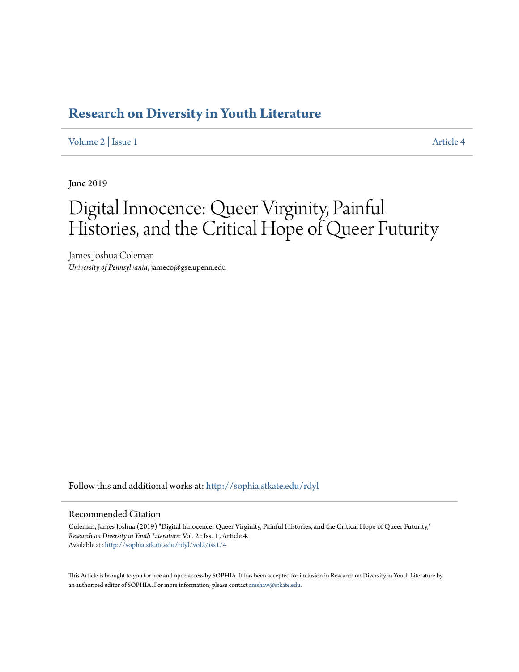## **[Research on Diversity in Youth Literature](http://sophia.stkate.edu/rdyl?utm_source=sophia.stkate.edu%2Frdyl%2Fvol2%2Fiss1%2F4&utm_medium=PDF&utm_campaign=PDFCoverPages)**

[Volume 2](http://sophia.stkate.edu/rdyl/vol2?utm_source=sophia.stkate.edu%2Frdyl%2Fvol2%2Fiss1%2F4&utm_medium=PDF&utm_campaign=PDFCoverPages) | [Issue 1](http://sophia.stkate.edu/rdyl/vol2/iss1?utm_source=sophia.stkate.edu%2Frdyl%2Fvol2%2Fiss1%2F4&utm_medium=PDF&utm_campaign=PDFCoverPages) [Article 4](http://sophia.stkate.edu/rdyl/vol2/iss1/4?utm_source=sophia.stkate.edu%2Frdyl%2Fvol2%2Fiss1%2F4&utm_medium=PDF&utm_campaign=PDFCoverPages)

June 2019

# Digital Innocence: Queer Virginity, Painful Histories, and the Critical Hope of Queer Futurity

James Joshua Coleman *University of Pennsylvania*, jameco@gse.upenn.edu

Follow this and additional works at: [http://sophia.stkate.edu/rdyl](http://sophia.stkate.edu/rdyl?utm_source=sophia.stkate.edu%2Frdyl%2Fvol2%2Fiss1%2F4&utm_medium=PDF&utm_campaign=PDFCoverPages)

#### Recommended Citation

Coleman, James Joshua (2019) "Digital Innocence: Queer Virginity, Painful Histories, and the Critical Hope of Queer Futurity," *Research on Diversity in Youth Literature*: Vol. 2 : Iss. 1 , Article 4. Available at: [http://sophia.stkate.edu/rdyl/vol2/iss1/4](http://sophia.stkate.edu/rdyl/vol2/iss1/4?utm_source=sophia.stkate.edu%2Frdyl%2Fvol2%2Fiss1%2F4&utm_medium=PDF&utm_campaign=PDFCoverPages)

This Article is brought to you for free and open access by SOPHIA. It has been accepted for inclusion in Research on Diversity in Youth Literature by an authorized editor of SOPHIA. For more information, please contact [amshaw@stkate.edu.](mailto:amshaw@stkate.edu)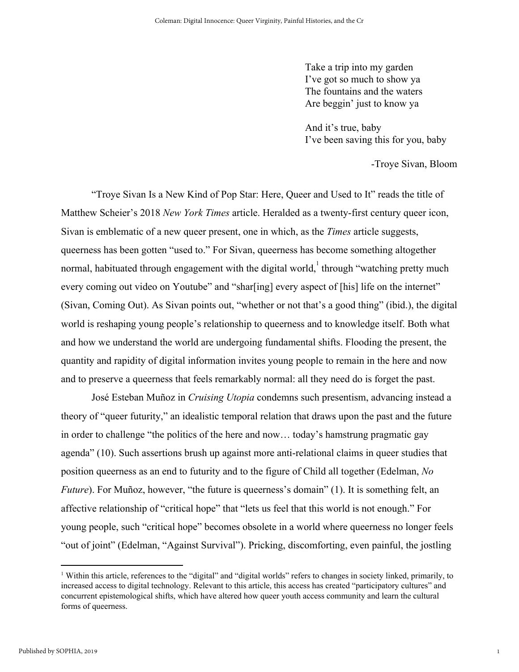Take a trip into my garden I've got so much to show ya The fountains and the waters Are beggin' just to know ya

And it's true, baby I've been saving this for you, baby

-Troye Sivan, Bloom

1

"Troye Sivan Is a New Kind of Pop Star: Here, Queer and Used to It" reads the title of Matthew Scheier's 2018 *New York Times* article. Heralded as a twenty-first century queer icon, Sivan is emblematic of a new queer present, one in which, as the *Times* article suggests, queerness has been gotten "used to." For Sivan, queerness has become something altogether normal, habituated through engagement with the digital world,  $\frac{1}{1}$  through "watching pretty much every coming out video on Youtube" and "shar[ing] every aspect of [his] life on the internet" (Sivan, Coming Out). As Sivan points out, "whether or not that's a good thing" (ibid.), the digital world is reshaping young people's relationship to queerness and to knowledge itself. Both what and how we understand the world are undergoing fundamental shifts. Flooding the present, the quantity and rapidity of digital information invites young people to remain in the here and now and to preserve a queerness that feels remarkably normal: all they need do is forget the past.

José Esteban Muñoz in *Cruising Utopia* condemns such presentism, advancing instead a theory of "queer futurity," an idealistic temporal relation that draws upon the past and the future in order to challenge "the politics of the here and now… today's hamstrung pragmatic gay agenda" (10). Such assertions brush up against more anti-relational claims in queer studies that position queerness as an end to futurity and to the figure of Child all together (Edelman, *No Future*). For Muñoz, however, "the future is queerness's domain" (1). It is something felt, an affective relationship of "critical hope" that "lets us feel that this world is not enough." For young people, such "critical hope" becomes obsolete in a world where queerness no longer feels "out of joint" (Edelman, "Against Survival"). Pricking, discomforting, even painful, the jostling

<sup>1</sup> Within this article, references to the "digital" and "digital worlds" refers to changes in society linked, primarily, to increased access to digital technology. Relevant to this article, this access has created "participatory cultures" and concurrent epistemological shifts, which have altered how queer youth access community and learn the cultural forms of queerness.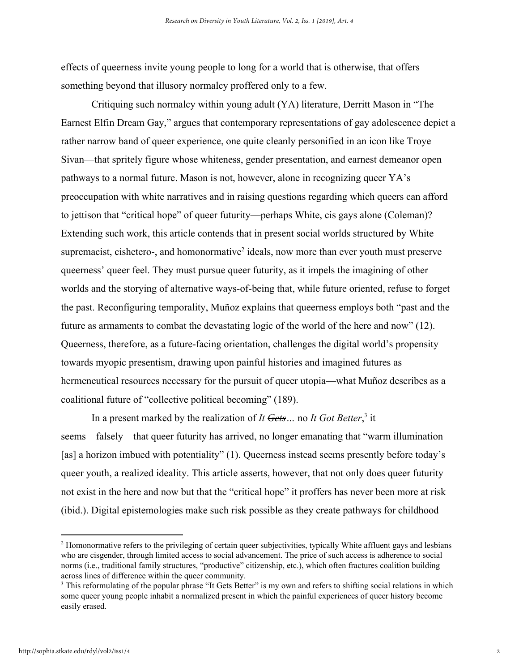effects of queerness invite young people to long for a world that is otherwise, that offers something beyond that illusory normalcy proffered only to a few.

Critiquing such normalcy within young adult (YA) literature, Derritt Mason in "The Earnest Elfin Dream Gay," argues that contemporary representations of gay adolescence depict a rather narrow band of queer experience, one quite cleanly personified in an icon like Troye Sivan—that spritely figure whose whiteness, gender presentation, and earnest demeanor open pathways to a normal future. Mason is not, however, alone in recognizing queer YA's preoccupation with white narratives and in raising questions regarding which queers can afford to jettison that "critical hope" of queer futurity—perhaps White, cis gays alone (Coleman)? Extending such work, this article contends that in present social worlds structured by White supremacist, cishetero-, and homonormative<sup>2</sup> ideals, now more than ever youth must preserve queerness' queer feel. They must pursue queer futurity, as it impels the imagining of other worlds and the storying of alternative ways-of-being that, while future oriented, refuse to forget the past. Reconfiguring temporality, Muñoz explains that queerness employs both "past and the future as armaments to combat the devastating logic of the world of the here and now" (12). Queerness, therefore, as a future-facing orientation, challenges the digital world's propensity towards myopic presentism, drawing upon painful histories and imagined futures as hermeneutical resources necessary for the pursuit of queer utopia—what Muñoz describes as a coalitional future of "collective political becoming" (189).

In a present marked by the realization of *It Gets...* no *It Got Better*,<sup>3</sup> it seems—falsely—that queer futurity has arrived, no longer emanating that "warm illumination [as] a horizon imbued with potentiality" (1). Queerness instead seems presently before today's queer youth, a realized ideality. This article asserts, however, that not only does queer futurity not exist in the here and now but that the "critical hope" it proffers has never been more at risk (ibid.). Digital epistemologies make such risk possible as they create pathways for childhood

<sup>&</sup>lt;sup>2</sup> Homonormative refers to the privileging of certain queer subjectivities, typically White affluent gays and lesbians who are cisgender, through limited access to social advancement. The price of such access is adherence to social norms (i.e., traditional family structures, "productive" citizenship, etc.), which often fractures coalition building across lines of difference within the queer community.

<sup>&</sup>lt;sup>3</sup> This reformulating of the popular phrase "It Gets Better" is my own and refers to shifting social relations in which some queer young people inhabit a normalized present in which the painful experiences of queer history become easily erased.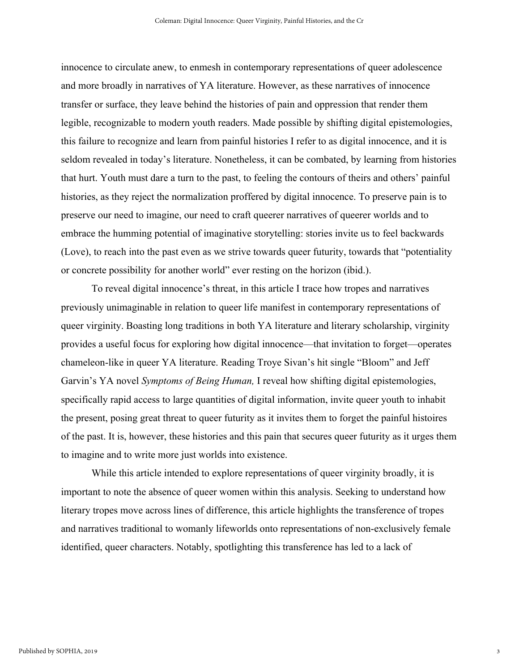innocence to circulate anew, to enmesh in contemporary representations of queer adolescence and more broadly in narratives of YA literature. However, as these narratives of innocence transfer or surface, they leave behind the histories of pain and oppression that render them legible, recognizable to modern youth readers. Made possible by shifting digital epistemologies, this failure to recognize and learn from painful histories I refer to as digital innocence, and it is seldom revealed in today's literature. Nonetheless, it can be combated, by learning from histories that hurt. Youth must dare a turn to the past, to feeling the contours of theirs and others' painful histories, as they reject the normalization proffered by digital innocence. To preserve pain is to preserve our need to imagine, our need to craft queerer narratives of queerer worlds and to embrace the humming potential of imaginative storytelling: stories invite us to feel backwards (Love), to reach into the past even as we strive towards queer futurity, towards that "potentiality or concrete possibility for another world" ever resting on the horizon (ibid.).

To reveal digital innocence's threat, in this article I trace how tropes and narratives previously unimaginable in relation to queer life manifest in contemporary representations of queer virginity. Boasting long traditions in both YA literature and literary scholarship, virginity provides a useful focus for exploring how digital innocence—that invitation to forget—operates chameleon-like in queer YA literature. Reading Troye Sivan's hit single "Bloom" and Jeff Garvin's YA novel *Symptoms of Being Human,* I reveal how shifting digital epistemologies, specifically rapid access to large quantities of digital information, invite queer youth to inhabit the present, posing great threat to queer futurity as it invites them to forget the painful histoires of the past. It is, however, these histories and this pain that secures queer futurity as it urges them to imagine and to write more just worlds into existence.

While this article intended to explore representations of queer virginity broadly, it is important to note the absence of queer women within this analysis. Seeking to understand how literary tropes move across lines of difference, this article highlights the transference of tropes and narratives traditional to womanly lifeworlds onto representations of non-exclusively female identified, queer characters. Notably, spotlighting this transference has led to a lack of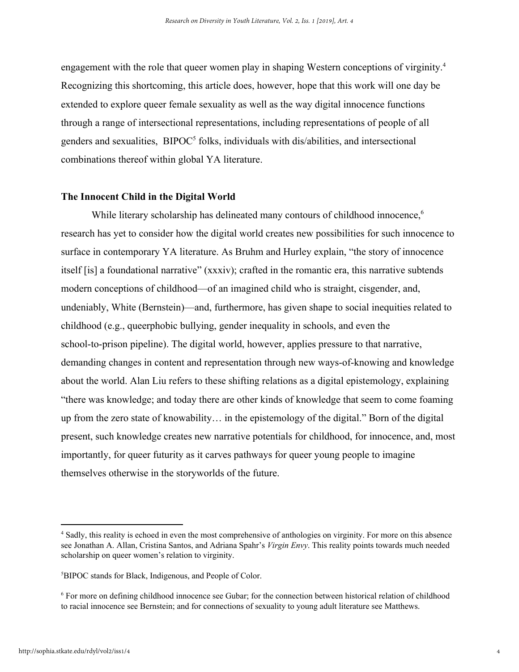engagement with the role that queer women play in shaping Western conceptions of virginity.<sup>4</sup> Recognizing this shortcoming, this article does, however, hope that this work will one day be extended to explore queer female sexuality as well as the way digital innocence functions through a range of intersectional representations, including representations of people of all genders and sexualities, BIPOC<sup>5</sup> folks, individuals with dis/abilities, and intersectional combinations thereof within global YA literature.

#### **The Innocent Child in the Digital World**

While literary scholarship has delineated many contours of childhood innocence,<sup>6</sup> research has yet to consider how the digital world creates new possibilities for such innocence to surface in contemporary YA literature. As Bruhm and Hurley explain, "the story of innocence itself [is] a foundational narrative" (xxxiv); crafted in the romantic era, this narrative subtends modern conceptions of childhood—of an imagined child who is straight, cisgender, and, undeniably, White (Bernstein)—and, furthermore, has given shape to social inequities related to childhood (e.g., queerphobic bullying, gender inequality in schools, and even the school-to-prison pipeline). The digital world, however, applies pressure to that narrative, demanding changes in content and representation through new ways-of-knowing and knowledge about the world. Alan Liu refers to these shifting relations as a digital epistemology, explaining "there was knowledge; and today there are other kinds of knowledge that seem to come foaming up from the zero state of knowability… in the epistemology of the digital." Born of the digital present, such knowledge creates new narrative potentials for childhood, for innocence, and, most importantly, for queer futurity as it carves pathways for queer young people to imagine themselves otherwise in the storyworlds of the future.

<sup>4</sup> Sadly, this reality is echoed in even the most comprehensive of anthologies on virginity. For more on this absence see Jonathan A. Allan, Cristina Santos, and Adriana Spahr's *Virgin Envy*. This reality points towards much needed scholarship on queer women's relation to virginity.

<sup>5</sup>BIPOC stands for Black, Indigenous, and People of Color.

<sup>6</sup> For more on defining childhood innocence see Gubar; for the connection between historical relation of childhood to racial innocence see Bernstein; and for connections of sexuality to young adult literature see Matthews.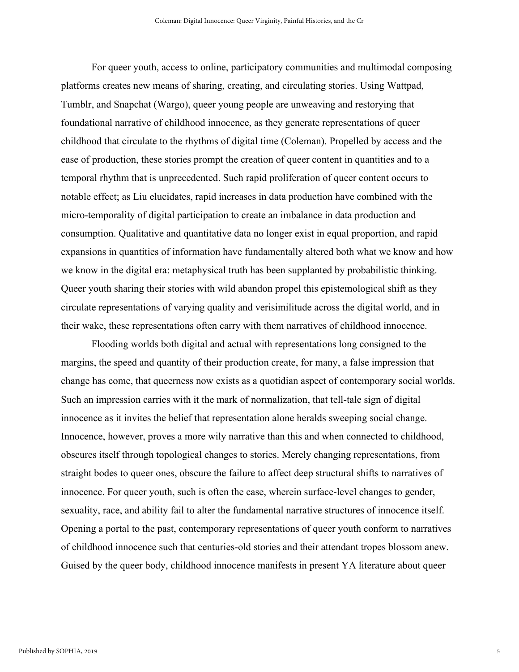For queer youth, access to online, participatory communities and multimodal composing platforms creates new means of sharing, creating, and circulating stories. Using Wattpad, Tumblr, and Snapchat (Wargo), queer young people are unweaving and restorying that foundational narrative of childhood innocence, as they generate representations of queer childhood that circulate to the rhythms of digital time (Coleman). Propelled by access and the ease of production, these stories prompt the creation of queer content in quantities and to a temporal rhythm that is unprecedented. Such rapid proliferation of queer content occurs to notable effect; as Liu elucidates, rapid increases in data production have combined with the micro-temporality of digital participation to create an imbalance in data production and consumption. Qualitative and quantitative data no longer exist in equal proportion, and rapid expansions in quantities of information have fundamentally altered both what we know and how we know in the digital era: metaphysical truth has been supplanted by probabilistic thinking. Queer youth sharing their stories with wild abandon propel this epistemological shift as they circulate representations of varying quality and verisimilitude across the digital world, and in their wake, these representations often carry with them narratives of childhood innocence.

Flooding worlds both digital and actual with representations long consigned to the margins, the speed and quantity of their production create, for many, a false impression that change has come, that queerness now exists as a quotidian aspect of contemporary social worlds. Such an impression carries with it the mark of normalization, that tell-tale sign of digital innocence as it invites the belief that representation alone heralds sweeping social change. Innocence, however, proves a more wily narrative than this and when connected to childhood, obscures itself through topological changes to stories. Merely changing representations, from straight bodes to queer ones, obscure the failure to affect deep structural shifts to narratives of innocence. For queer youth, such is often the case, wherein surface-level changes to gender, sexuality, race, and ability fail to alter the fundamental narrative structures of innocence itself. Opening a portal to the past, contemporary representations of queer youth conform to narratives of childhood innocence such that centuries-old stories and their attendant tropes blossom anew. Guised by the queer body, childhood innocence manifests in present YA literature about queer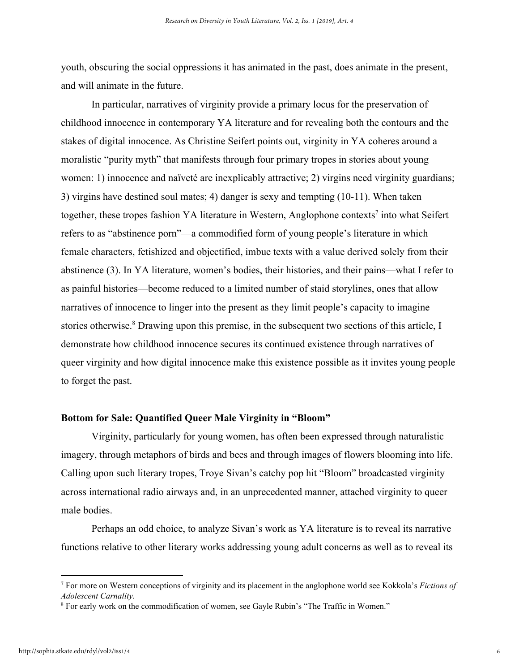youth, obscuring the social oppressions it has animated in the past, does animate in the present, and will animate in the future.

In particular, narratives of virginity provide a primary locus for the preservation of childhood innocence in contemporary YA literature and for revealing both the contours and the stakes of digital innocence. As Christine Seifert points out, virginity in YA coheres around a moralistic "purity myth" that manifests through four primary tropes in stories about young women: 1) innocence and naïveté are inexplicably attractive; 2) virgins need virginity guardians; 3) virgins have destined soul mates; 4) danger is sexy and tempting (10-11). When taken together, these tropes fashion YA literature in Western, Anglophone contexts<sup>7</sup> into what Seifert refers to as "abstinence porn"—a commodified form of young people's literature in which female characters, fetishized and objectified, imbue texts with a value derived solely from their abstinence (3). In YA literature, women's bodies, their histories, and their pains—what I refer to as painful histories—become reduced to a limited number of staid storylines, ones that allow narratives of innocence to linger into the present as they limit people's capacity to imagine stories otherwise.<sup>8</sup> Drawing upon this premise, in the subsequent two sections of this article, I demonstrate how childhood innocence secures its continued existence through narratives of queer virginity and how digital innocence make this existence possible as it invites young people to forget the past.

#### **Bottom for Sale: Quantified Queer Male Virginity in "Bloom"**

Virginity, particularly for young women, has often been expressed through naturalistic imagery, through metaphors of birds and bees and through images of flowers blooming into life. Calling upon such literary tropes, Troye Sivan's catchy pop hit "Bloom" broadcasted virginity across international radio airways and, in an unprecedented manner, attached virginity to queer male bodies.

Perhaps an odd choice, to analyze Sivan's work as YA literature is to reveal its narrative functions relative to other literary works addressing young adult concerns as well as to reveal its

<sup>7</sup> For more on Western conceptions of virginity and its placement in the anglophone world see Kokkola's *Fictions of Adolescent Carnality*.

<sup>&</sup>lt;sup>8</sup> For early work on the commodification of women, see Gayle Rubin's "The Traffic in Women."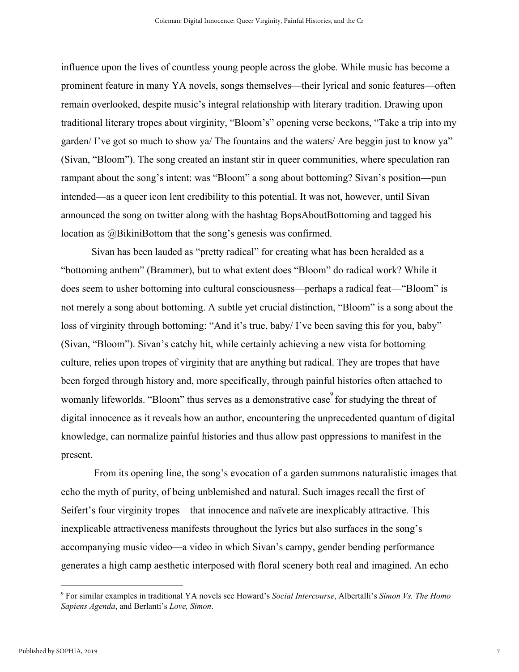influence upon the lives of countless young people across the globe. While music has become a prominent feature in many YA novels, songs themselves—their lyrical and sonic features—often remain overlooked, despite music's integral relationship with literary tradition. Drawing upon traditional literary tropes about virginity, "Bloom's" opening verse beckons, "Take a trip into my garden/ I've got so much to show ya/ The fountains and the waters/ Are beggin just to know ya" (Sivan, "Bloom"). The song created an instant stir in queer communities, where speculation ran rampant about the song's intent: was "Bloom" a song about bottoming? Sivan's position—pun intended—as a queer icon lent credibility to this potential. It was not, however, until Sivan announced the song on twitter along with the hashtag BopsAboutBottoming and tagged his location as @BikiniBottom that the song's genesis was confirmed.

Sivan has been lauded as "pretty radical" for creating what has been heralded as a "bottoming anthem" (Brammer), but to what extent does "Bloom" do radical work? While it does seem to usher bottoming into cultural consciousness—perhaps a radical feat—"Bloom" is not merely a song about bottoming. A subtle yet crucial distinction, "Bloom" is a song about the loss of virginity through bottoming: "And it's true, baby/ I've been saving this for you, baby" (Sivan, "Bloom"). Sivan's catchy hit, while certainly achieving a new vista for bottoming culture, relies upon tropes of virginity that are anything but radical. They are tropes that have been forged through history and, more specifically, through painful histories often attached to womanly lifeworlds. "Bloom" thus serves as a demonstrative case for studying the threat of digital innocence as it reveals how an author, encountering the unprecedented quantum of digital knowledge, can normalize painful histories and thus allow past oppressions to manifest in the present.

 From its opening line, the song's evocation of a garden summons naturalistic images that echo the myth of purity, of being unblemished and natural. Such images recall the first of Seifert's four virginity tropes—that innocence and naïvete are inexplicably attractive. This inexplicable attractiveness manifests throughout the lyrics but also surfaces in the song's accompanying music video—a video in which Sivan's campy, gender bending performance generates a high camp aesthetic interposed with floral scenery both real and imagined. An echo

<sup>9</sup> For similar examples in traditional YA novels see Howard's *Social Intercourse*, Albertalli's *Simon Vs. The Homo Sapiens Agenda*, and Berlanti's *Love, Simon*.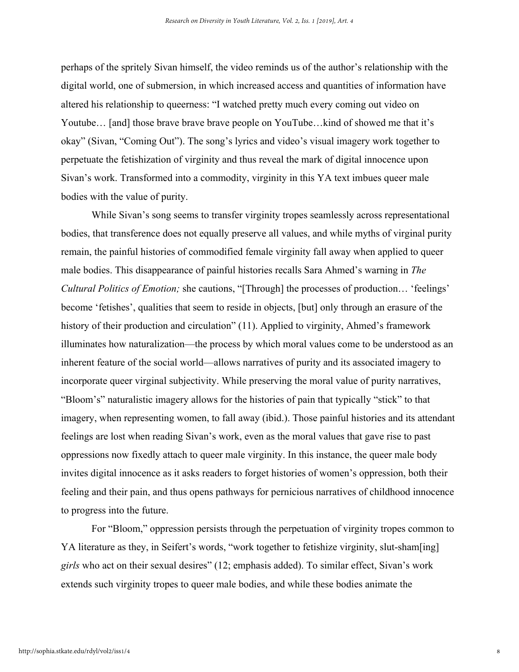perhaps of the spritely Sivan himself, the video reminds us of the author's relationship with the digital world, one of submersion, in which increased access and quantities of information have altered his relationship to queerness: "I watched pretty much every coming out video on Youtube... [and] those brave brave brave people on YouTube...kind of showed me that it's okay" (Sivan, "Coming Out"). The song's lyrics and video's visual imagery work together to perpetuate the fetishization of virginity and thus reveal the mark of digital innocence upon Sivan's work. Transformed into a commodity, virginity in this YA text imbues queer male bodies with the value of purity.

While Sivan's song seems to transfer virginity tropes seamlessly across representational bodies, that transference does not equally preserve all values, and while myths of virginal purity remain, the painful histories of commodified female virginity fall away when applied to queer male bodies. This disappearance of painful histories recalls Sara Ahmed's warning in *The Cultural Politics of Emotion;* she cautions, "[Through] the processes of production… 'feelings' become 'fetishes', qualities that seem to reside in objects, [but] only through an erasure of the history of their production and circulation" (11). Applied to virginity, Ahmed's framework illuminates how naturalization—the process by which moral values come to be understood as an inherent feature of the social world—allows narratives of purity and its associated imagery to incorporate queer virginal subjectivity. While preserving the moral value of purity narratives, "Bloom's" naturalistic imagery allows for the histories of pain that typically "stick" to that imagery, when representing women, to fall away (ibid.). Those painful histories and its attendant feelings are lost when reading Sivan's work, even as the moral values that gave rise to past oppressions now fixedly attach to queer male virginity. In this instance, the queer male body invites digital innocence as it asks readers to forget histories of women's oppression, both their feeling and their pain, and thus opens pathways for pernicious narratives of childhood innocence to progress into the future.

For "Bloom," oppression persists through the perpetuation of virginity tropes common to YA literature as they, in Seifert's words, "work together to fetishize virginity, slut-sham [ing] *girls* who act on their sexual desires" (12; emphasis added). To similar effect, Sivan's work extends such virginity tropes to queer male bodies, and while these bodies animate the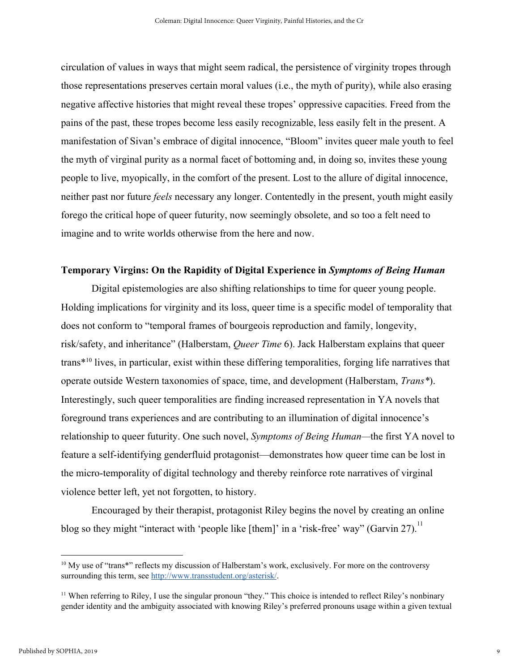circulation of values in ways that might seem radical, the persistence of virginity tropes through those representations preserves certain moral values (i.e., the myth of purity), while also erasing negative affective histories that might reveal these tropes' oppressive capacities. Freed from the pains of the past, these tropes become less easily recognizable, less easily felt in the present. A manifestation of Sivan's embrace of digital innocence, "Bloom" invites queer male youth to feel the myth of virginal purity as a normal facet of bottoming and, in doing so, invites these young people to live, myopically, in the comfort of the present. Lost to the allure of digital innocence, neither past nor future *feels* necessary any longer. Contentedly in the present, youth might easily forego the critical hope of queer futurity, now seemingly obsolete, and so too a felt need to imagine and to write worlds otherwise from the here and now.

### **Temporary Virgins: On the Rapidity of Digital Experience in** *Symptoms of Being Human*

Digital epistemologies are also shifting relationships to time for queer young people. Holding implications for virginity and its loss, queer time is a specific model of temporality that does not conform to "temporal frames of bourgeois reproduction and family, longevity, risk/safety, and inheritance" (Halberstam, *Queer Time* 6). Jack Halberstam explains that queer trans\*<sup>10</sup> lives, in particular, exist within these differing temporalities, forging life narratives that operate outside Western taxonomies of space, time, and development (Halberstam, *Trans\**). Interestingly, such queer temporalities are finding increased representation in YA novels that foreground trans experiences and are contributing to an illumination of digital innocence's relationship to queer futurity. One such novel, *Symptoms of Being Human—*the first YA novel to feature a self-identifying genderfluid protagonist—demonstrates how queer time can be lost in the micro-temporality of digital technology and thereby reinforce rote narratives of virginal violence better left, yet not forgotten, to history.

Encouraged by their therapist, protagonist Riley begins the novel by creating an online blog so they might "interact with 'people like [them]' in a 'risk-free' way" (Garvin 27).<sup>11</sup>

<sup>&</sup>lt;sup>10</sup> My use of "trans\*" reflects my discussion of Halberstam's work, exclusively. For more on the controversy surrounding this term, see<http://www.transstudent.org/asterisk/>.

<sup>&</sup>lt;sup>11</sup> When referring to Riley, I use the singular pronoun "they." This choice is intended to reflect Riley's nonbinary gender identity and the ambiguity associated with knowing Riley's preferred pronouns usage within a given textual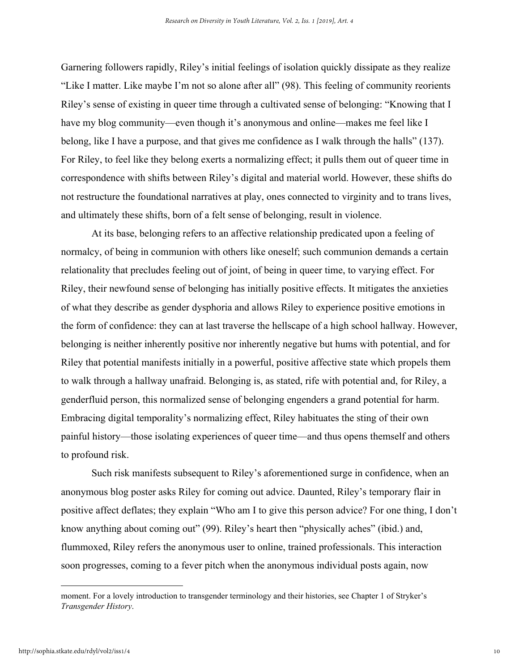Garnering followers rapidly, Riley's initial feelings of isolation quickly dissipate as they realize "Like I matter. Like maybe I'm not so alone after all" (98). This feeling of community reorients Riley's sense of existing in queer time through a cultivated sense of belonging: "Knowing that I have my blog community—even though it's anonymous and online—makes me feel like I belong, like I have a purpose, and that gives me confidence as I walk through the halls" (137). For Riley, to feel like they belong exerts a normalizing effect; it pulls them out of queer time in correspondence with shifts between Riley's digital and material world. However, these shifts do not restructure the foundational narratives at play, ones connected to virginity and to trans lives, and ultimately these shifts, born of a felt sense of belonging, result in violence.

At its base, belonging refers to an affective relationship predicated upon a feeling of normalcy, of being in communion with others like oneself; such communion demands a certain relationality that precludes feeling out of joint, of being in queer time, to varying effect. For Riley, their newfound sense of belonging has initially positive effects. It mitigates the anxieties of what they describe as gender dysphoria and allows Riley to experience positive emotions in the form of confidence: they can at last traverse the hellscape of a high school hallway. However, belonging is neither inherently positive nor inherently negative but hums with potential, and for Riley that potential manifests initially in a powerful, positive affective state which propels them to walk through a hallway unafraid. Belonging is, as stated, rife with potential and, for Riley, a genderfluid person, this normalized sense of belonging engenders a grand potential for harm. Embracing digital temporality's normalizing effect, Riley habituates the sting of their own painful history—those isolating experiences of queer time—and thus opens themself and others to profound risk.

Such risk manifests subsequent to Riley's aforementioned surge in confidence, when an anonymous blog poster asks Riley for coming out advice. Daunted, Riley's temporary flair in positive affect deflates; they explain "Who am I to give this person advice? For one thing, I don't know anything about coming out" (99). Riley's heart then "physically aches" (ibid.) and, flummoxed, Riley refers the anonymous user to online, trained professionals. This interaction soon progresses, coming to a fever pitch when the anonymous individual posts again, now

moment. For a lovely introduction to transgender terminology and their histories, see Chapter 1 of Stryker's *Transgender History*.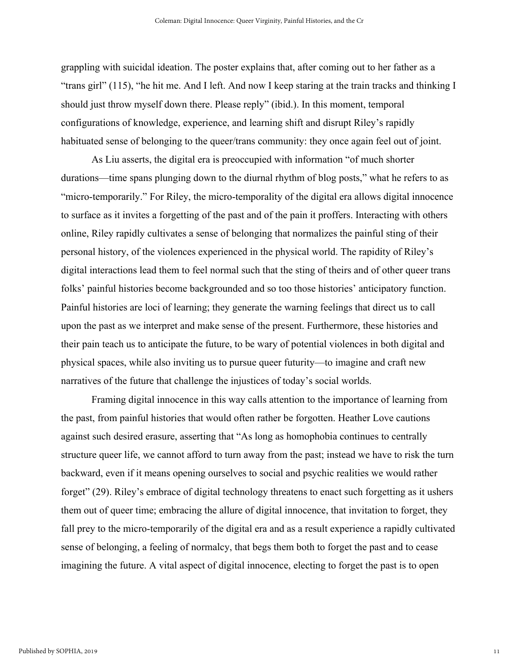grappling with suicidal ideation. The poster explains that, after coming out to her father as a "trans girl" (115), "he hit me. And I left. And now I keep staring at the train tracks and thinking I should just throw myself down there. Please reply" (ibid.). In this moment, temporal configurations of knowledge, experience, and learning shift and disrupt Riley's rapidly habituated sense of belonging to the queer/trans community: they once again feel out of joint.

As Liu asserts, the digital era is preoccupied with information "of much shorter durations—time spans plunging down to the diurnal rhythm of blog posts," what he refers to as "micro-temporarily." For Riley, the micro-temporality of the digital era allows digital innocence to surface as it invites a forgetting of the past and of the pain it proffers. Interacting with others online, Riley rapidly cultivates a sense of belonging that normalizes the painful sting of their personal history, of the violences experienced in the physical world. The rapidity of Riley's digital interactions lead them to feel normal such that the sting of theirs and of other queer trans folks' painful histories become backgrounded and so too those histories' anticipatory function. Painful histories are loci of learning; they generate the warning feelings that direct us to call upon the past as we interpret and make sense of the present. Furthermore, these histories and their pain teach us to anticipate the future, to be wary of potential violences in both digital and physical spaces, while also inviting us to pursue queer futurity—to imagine and craft new narratives of the future that challenge the injustices of today's social worlds.

Framing digital innocence in this way calls attention to the importance of learning from the past, from painful histories that would often rather be forgotten. Heather Love cautions against such desired erasure, asserting that "As long as homophobia continues to centrally structure queer life, we cannot afford to turn away from the past; instead we have to risk the turn backward, even if it means opening ourselves to social and psychic realities we would rather forget" (29). Riley's embrace of digital technology threatens to enact such forgetting as it ushers them out of queer time; embracing the allure of digital innocence, that invitation to forget, they fall prey to the micro-temporarily of the digital era and as a result experience a rapidly cultivated sense of belonging, a feeling of normalcy, that begs them both to forget the past and to cease imagining the future. A vital aspect of digital innocence, electing to forget the past is to open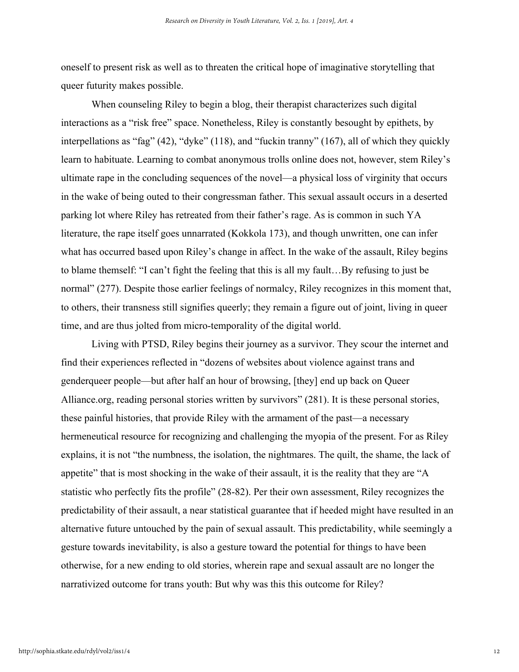oneself to present risk as well as to threaten the critical hope of imaginative storytelling that queer futurity makes possible.

When counseling Riley to begin a blog, their therapist characterizes such digital interactions as a "risk free" space. Nonetheless, Riley is constantly besought by epithets, by interpellations as "fag" (42), "dyke" (118), and "fuckin tranny" (167), all of which they quickly learn to habituate. Learning to combat anonymous trolls online does not, however, stem Riley's ultimate rape in the concluding sequences of the novel—a physical loss of virginity that occurs in the wake of being outed to their congressman father. This sexual assault occurs in a deserted parking lot where Riley has retreated from their father's rage. As is common in such YA literature, the rape itself goes unnarrated (Kokkola 173), and though unwritten, one can infer what has occurred based upon Riley's change in affect. In the wake of the assault, Riley begins to blame themself: "I can't fight the feeling that this is all my fault…By refusing to just be normal" (277). Despite those earlier feelings of normalcy, Riley recognizes in this moment that, to others, their transness still signifies queerly; they remain a figure out of joint, living in queer time, and are thus jolted from micro-temporality of the digital world.

Living with PTSD, Riley begins their journey as a survivor. They scour the internet and find their experiences reflected in "dozens of websites about violence against trans and genderqueer people—but after half an hour of browsing, [they] end up back on Queer Alliance.org, reading personal stories written by survivors" (281). It is these personal stories, these painful histories, that provide Riley with the armament of the past—a necessary hermeneutical resource for recognizing and challenging the myopia of the present. For as Riley explains, it is not "the numbness, the isolation, the nightmares. The quilt, the shame, the lack of appetite" that is most shocking in the wake of their assault, it is the reality that they are "A statistic who perfectly fits the profile" (28-82). Per their own assessment, Riley recognizes the predictability of their assault, a near statistical guarantee that if heeded might have resulted in an alternative future untouched by the pain of sexual assault. This predictability, while seemingly a gesture towards inevitability, is also a gesture toward the potential for things to have been otherwise, for a new ending to old stories, wherein rape and sexual assault are no longer the narrativized outcome for trans youth: But why was this this outcome for Riley?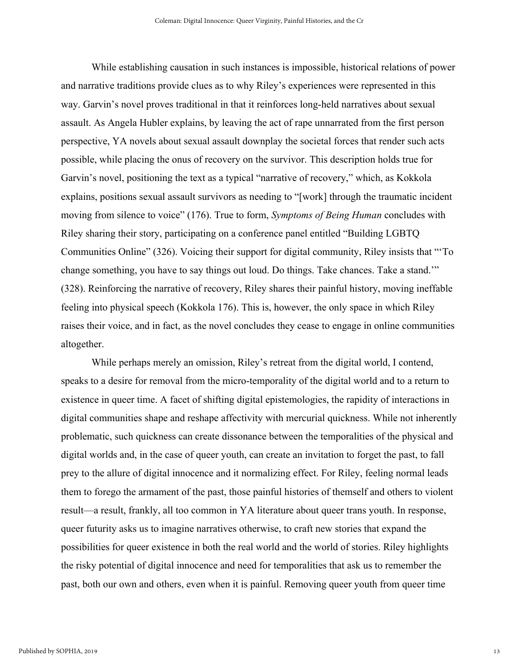While establishing causation in such instances is impossible, historical relations of power and narrative traditions provide clues as to why Riley's experiences were represented in this way. Garvin's novel proves traditional in that it reinforces long-held narratives about sexual assault. As Angela Hubler explains, by leaving the act of rape unnarrated from the first person perspective, YA novels about sexual assault downplay the societal forces that render such acts possible, while placing the onus of recovery on the survivor. This description holds true for Garvin's novel, positioning the text as a typical "narrative of recovery," which, as Kokkola explains, positions sexual assault survivors as needing to "[work] through the traumatic incident moving from silence to voice" (176). True to form, *Symptoms of Being Human* concludes with Riley sharing their story, participating on a conference panel entitled "Building LGBTQ Communities Online" (326). Voicing their support for digital community, Riley insists that "'To change something, you have to say things out loud. Do things. Take chances. Take a stand.'" (328). Reinforcing the narrative of recovery, Riley shares their painful history, moving ineffable feeling into physical speech (Kokkola 176). This is, however, the only space in which Riley raises their voice, and in fact, as the novel concludes they cease to engage in online communities altogether.

While perhaps merely an omission, Riley's retreat from the digital world, I contend, speaks to a desire for removal from the micro-temporality of the digital world and to a return to existence in queer time. A facet of shifting digital epistemologies, the rapidity of interactions in digital communities shape and reshape affectivity with mercurial quickness. While not inherently problematic, such quickness can create dissonance between the temporalities of the physical and digital worlds and, in the case of queer youth, can create an invitation to forget the past, to fall prey to the allure of digital innocence and it normalizing effect. For Riley, feeling normal leads them to forego the armament of the past, those painful histories of themself and others to violent result—a result, frankly, all too common in YA literature about queer trans youth. In response, queer futurity asks us to imagine narratives otherwise, to craft new stories that expand the possibilities for queer existence in both the real world and the world of stories. Riley highlights the risky potential of digital innocence and need for temporalities that ask us to remember the past, both our own and others, even when it is painful. Removing queer youth from queer time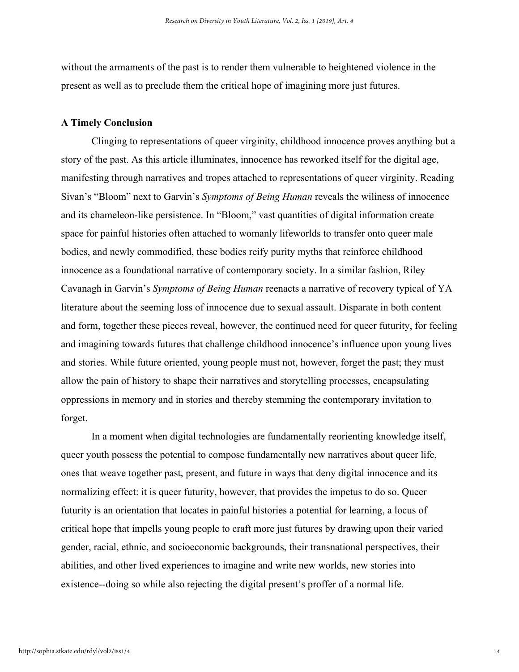without the armaments of the past is to render them vulnerable to heightened violence in the present as well as to preclude them the critical hope of imagining more just futures.

#### **A Timely Conclusion**

Clinging to representations of queer virginity, childhood innocence proves anything but a story of the past. As this article illuminates, innocence has reworked itself for the digital age, manifesting through narratives and tropes attached to representations of queer virginity. Reading Sivan's "Bloom" next to Garvin's *Symptoms of Being Human* reveals the wiliness of innocence and its chameleon-like persistence. In "Bloom," vast quantities of digital information create space for painful histories often attached to womanly lifeworlds to transfer onto queer male bodies, and newly commodified, these bodies reify purity myths that reinforce childhood innocence as a foundational narrative of contemporary society. In a similar fashion, Riley Cavanagh in Garvin's *Symptoms of Being Human* reenacts a narrative of recovery typical of YA literature about the seeming loss of innocence due to sexual assault. Disparate in both content and form, together these pieces reveal, however, the continued need for queer futurity, for feeling and imagining towards futures that challenge childhood innocence's influence upon young lives and stories. While future oriented, young people must not, however, forget the past; they must allow the pain of history to shape their narratives and storytelling processes, encapsulating oppressions in memory and in stories and thereby stemming the contemporary invitation to forget.

In a moment when digital technologies are fundamentally reorienting knowledge itself, queer youth possess the potential to compose fundamentally new narratives about queer life, ones that weave together past, present, and future in ways that deny digital innocence and its normalizing effect: it is queer futurity, however, that provides the impetus to do so. Queer futurity is an orientation that locates in painful histories a potential for learning, a locus of critical hope that impells young people to craft more just futures by drawing upon their varied gender, racial, ethnic, and socioeconomic backgrounds, their transnational perspectives, their abilities, and other lived experiences to imagine and write new worlds, new stories into existence--doing so while also rejecting the digital present's proffer of a normal life.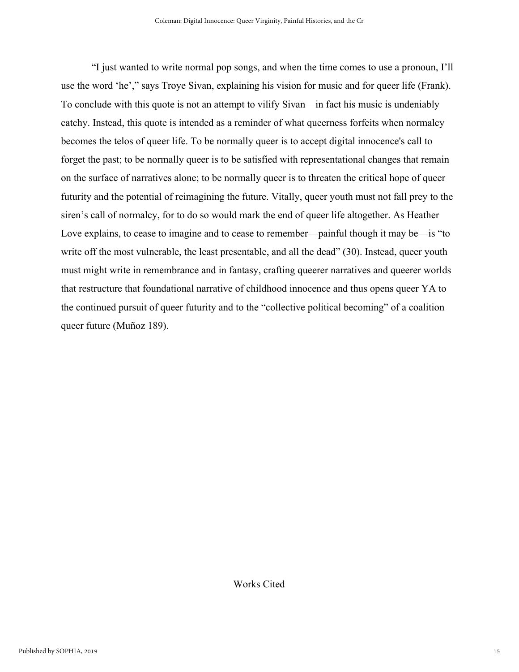"I just wanted to write normal pop songs, and when the time comes to use a pronoun, I'll use the word 'he'," says Troye Sivan, explaining his vision for music and for queer life (Frank). To conclude with this quote is not an attempt to vilify Sivan—in fact his music is undeniably catchy. Instead, this quote is intended as a reminder of what queerness forfeits when normalcy becomes the telos of queer life. To be normally queer is to accept digital innocence's call to forget the past; to be normally queer is to be satisfied with representational changes that remain on the surface of narratives alone; to be normally queer is to threaten the critical hope of queer futurity and the potential of reimagining the future. Vitally, queer youth must not fall prey to the siren's call of normalcy, for to do so would mark the end of queer life altogether. As Heather Love explains, to cease to imagine and to cease to remember—painful though it may be—is "to write off the most vulnerable, the least presentable, and all the dead" (30). Instead, queer youth must might write in remembrance and in fantasy, crafting queerer narratives and queerer worlds that restructure that foundational narrative of childhood innocence and thus opens queer YA to the continued pursuit of queer futurity and to the "collective political becoming" of a coalition queer future (Muñoz 189).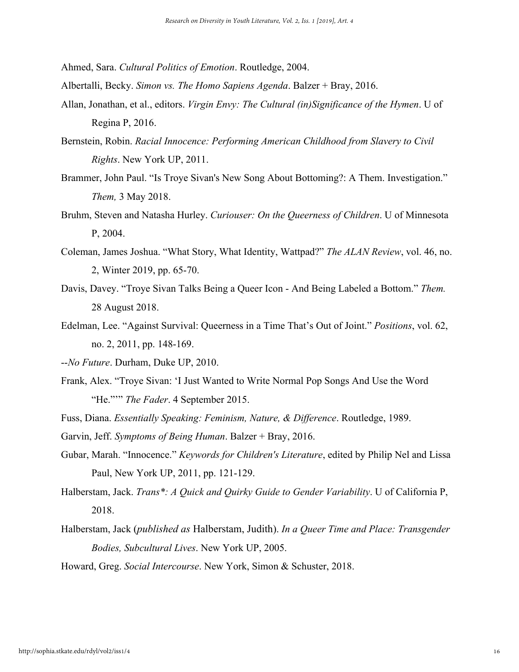Ahmed, Sara. *Cultural Politics of Emotion*. Routledge, 2004.

Albertalli, Becky. *Simon vs. The Homo Sapiens Agenda*. Balzer + Bray, 2016.

- Allan, Jonathan, et al., editors. *Virgin Envy: The Cultural (in)Significance of the Hymen*. U of Regina P, 2016.
- Bernstein, Robin. *Racial Innocence: Performing American Childhood from Slavery to Civil Rights*. New York UP, 2011.
- Brammer, John Paul. "Is Troye Sivan's New Song About Bottoming?: A Them. Investigation." *Them,* 3 May 2018.
- Bruhm, Steven and Natasha Hurley. *Curiouser: On the Queerness of Children*. U of Minnesota P, 2004.
- Coleman, James Joshua. "What Story, What Identity, Wattpad?" *The ALAN Review*, vol. 46, no. 2, Winter 2019, pp. 65-70.
- Davis, Davey. "Troye Sivan Talks Being a Queer Icon And Being Labeled a Bottom." *Them.* 28 August 2018.
- Edelman, Lee. "Against Survival: Queerness in a Time That's Out of Joint." *Positions*, vol. 62, no. 2, 2011, pp. 148-169.
- --*No Future*. Durham, Duke UP, 2010.
- Frank, Alex. "Troye Sivan: 'I Just Wanted to Write Normal Pop Songs And Use the Word "He."'" *The Fader*. 4 September 2015.
- Fuss, Diana. *Essentially Speaking: Feminism, Nature, & Difference*. Routledge, 1989.
- Garvin, Jeff. *Symptoms of Being Human*. Balzer + Bray, 2016.
- Gubar, Marah. "Innocence." *Keywords for Children's Literature*, edited by Philip Nel and Lissa Paul, New York UP, 2011, pp. 121-129.
- Halberstam, Jack. *Trans\*: A Quick and Quirky Guide to Gender Variability*. U of California P, 2018.
- Halberstam, Jack (*published as* Halberstam, Judith). *In a Queer Time and Place: Transgender Bodies, Subcultural Lives*. New York UP, 2005.

Howard, Greg. *Social Intercourse*. New York, Simon & Schuster, 2018.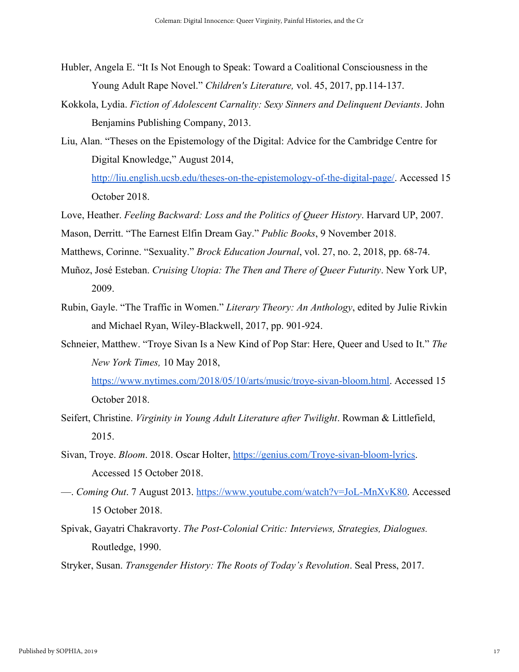- Hubler, Angela E. "It Is Not Enough to Speak: Toward a Coalitional Consciousness in the Young Adult Rape Novel." *Children's Literature,* vol. 45, 2017, pp.114-137.
- Kokkola, Lydia. *Fiction of Adolescent Carnality: Sexy Sinners and Delinquent Deviants*. John Benjamins Publishing Company, 2013.
- Liu, Alan. "Theses on the Epistemology of the Digital: Advice for the Cambridge Centre for Digital Knowledge," August 2014,
	- [http://liu.english.ucsb.edu/theses-on-the-epistemology-of-the-digital-page/.](http://liu.english.ucsb.edu/theses-on-the-epistemology-of-the-digital-page/) Accessed 15 October 2018.
- Love, Heather. *Feeling Backward: Loss and the Politics of Queer History*. Harvard UP, 2007.
- Mason, Derritt. "The Earnest Elfin Dream Gay." *Public Books*, 9 November 2018.
- Matthews, Corinne. "Sexuality." *Brock Education Journal*, vol. 27, no. 2, 2018, pp. 68-74.
- Muñoz, José Esteban. *Cruising Utopia: The Then and There of Queer Futurity*. New York UP, 2009.
- Rubin, Gayle. "The Traffic in Women." *Literary Theory: An Anthology*, edited by Julie Rivkin and Michael Ryan, Wiley-Blackwell, 2017, pp. 901-924.
- Schneier, Matthew. "Troye Sivan Is a New Kind of Pop Star: Here, Queer and Used to It." *The New York Times,* 10 May 2018,

[https://www.nytimes.com/2018/05/10/arts/music/troye-sivan-bloom.html.](https://www.nytimes.com/2018/05/10/arts/music/troye-sivan-bloom.html) Accessed 15 October 2018.

- Seifert, Christine. *Virginity in Young Adult Literature after Twilight*. Rowman & Littlefield, 2015.
- Sivan, Troye. *Bloom*. 2018. Oscar Holter, [https://genius.com/Troye-sivan-bloom-lyrics.](https://genius.com/Troye-sivan-bloom-lyrics) Accessed 15 October 2018.
- —. *Coming Out*. 7 August 2013. [https://www.youtube.com/watch?v=JoL-MnXvK80.](https://www.youtube.com/watch?v=JoL-MnXvK80) Accessed 15 October 2018.
- Spivak, Gayatri Chakravorty. *The Post-Colonial Critic: Interviews, Strategies, Dialogues.* Routledge, 1990.
- Stryker, Susan. *Transgender History: The Roots of Today's Revolution*. Seal Press, 2017.